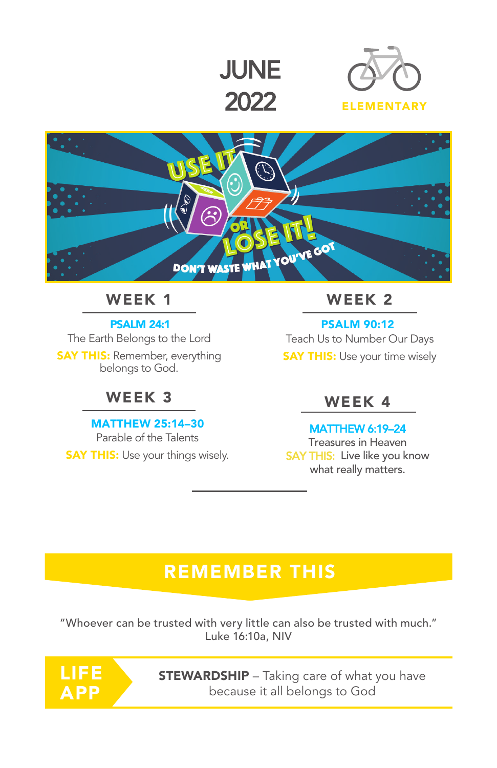





## WEEK 1 WEEK 2

PSALM 24:1

The Earth Belongs to the Lord **SAY THIS: Remember, everything** belongs to God.

### WEEK 3

MATTHEW 25:14–30 Parable of the Talents **SAY THIS:** Use your things wisely.

PSALM 90:12 Teach Us to Number Our Days **SAY THIS:** Use your time wisely

### WEEK 4

#### MATTHEW 6:19–24

Treasures in Heaven SAY THIS: Live like you know what really matters.

# **REMEMBER THIS**

"Whoever can be trusted with very little can also be trusted with much." Luke 16:10a, NIV

LIEE APP

**STEWARDSHIP** – Taking care of what you have because it all belongs to God